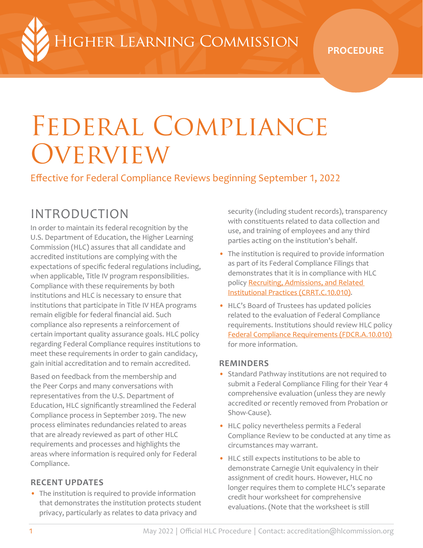IIGHER LEARNING COMMISSION

**PROCEDURE**

# Federal Compliance **OVERVIEW**

Effective for Federal Compliance Reviews beginning September 1, 2022

# INTRODUCTION

In order to maintain its federal recognition by the U.S. Department of Education, the Higher Learning Commission (HLC) assures that all candidate and accredited institutions are complying with the expectations of specific federal regulations including, when applicable, Title IV program responsibilities. Compliance with these requirements by both institutions and HLC is necessary to ensure that institutions that participate in Title IV HEA programs remain eligible for federal financial aid. Such compliance also represents a reinforcement of certain important quality assurance goals. HLC policy regarding Federal Compliance requires institutions to meet these requirements in order to gain candidacy, gain initial accreditation and to remain accredited.

Based on feedback from the membership and the Peer Corps and many conversations with representatives from the U.S. Department of Education, HLC significantly streamlined the Federal Compliance process in September 2019. The new process eliminates redundancies related to areas that are already reviewed as part of other HLC requirements and processes and highlights the areas where information is required only for Federal Compliance.

# **RECENT UPDATES**

• The institution is required to provide information that demonstrates the institution protects student privacy, particularly as relates to data privacy and

security (including student records), transparency with constituents related to data collection and use, and training of employees and any third parties acting on the institution's behalf.

- The institution is required to provide information as part of its Federal Compliance Filings that demonstrates that it is in compliance with HLC policy [Recruiting, Admissions, and Related](https://www.hlcommission.org/Policies/recruiting-admissions-and-related-institutional-practices.html)  [Institutional Practices \(CRRT.C.10.010\).](https://www.hlcommission.org/Policies/recruiting-admissions-and-related-institutional-practices.html)
- HLC's Board of Trustees has updated policies related to the evaluation of Federal Compliance requirements. Institutions should review HLC policy [Federal Compliance Requirements \(FDCR.A.10.010\)](https://www.hlcommission.org/Policies/federal-compliance-requirements.html)  for more information.

### **REMINDERS**

- Standard Pathway institutions are not required to submit a Federal Compliance Filing for their Year 4 comprehensive evaluation (unless they are newly accredited or recently removed from Probation or Show-Cause).
- HLC policy nevertheless permits a Federal Compliance Review to be conducted at any time as circumstances may warrant.
- HLC still expects institutions to be able to demonstrate Carnegie Unit equivalency in their assignment of credit hours. However, HLC no longer requires them to complete HLC's separate credit hour worksheet for comprehensive evaluations. (Note that the worksheet is still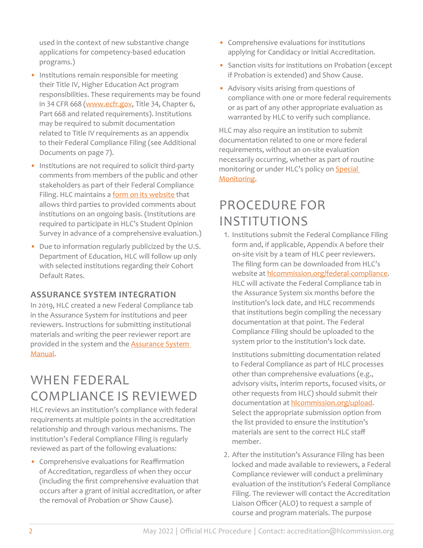used in the context of new substantive change applications for competency-based education programs.)

- Institutions remain responsible for meeting their Title IV, Higher Education Act program responsibilities. These requirements may be found in 34 CFR 668 ([www.ecfr.gov](https://www.ecfr.gov/), Title 34, Chapter 6, Part 668 and related requirements). Institutions may be required to submit documentation related to Title IV requirements as an appendix to their Federal Compliance Filing (see Additional Documents on page 7).
- Institutions are not required to solicit third-party comments from members of the public and other stakeholders as part of their Federal Compliance Filing. HLC maintains a [form on its website](https://www.hlcommission.org/Student-Resources/third-party-comment.html) that allows third parties to provided comments about institutions on an ongoing basis. (Institutions are required to participate in HLC's Student Opinion Survey in advance of a comprehensive evaluation.)
- Due to information regularly publicized by the U.S. Department of Education, HLC will follow up only with selected institutions regarding their Cohort Default Rates.

# **ASSURANCE SYSTEM INTEGRATION**

In 2019, HLC created a new Federal Compliance tab in the Assurance System for institutions and peer reviewers. Instructions for submitting institutional materials and writing the peer reviewer report are provided in the system and the **Assurance System** [Manual.](https://download.hlcommission.org/AssuranceSystemManual_INF.pdf)

# WHEN FEDERAL COMPLIANCE IS REVIEWED

HLC reviews an institution's compliance with federal requirements at multiple points in the accreditation relationship and through various mechanisms. The institution's Federal Compliance Filing is regularly reviewed as part of the following evaluations:

• Comprehensive evaluations for Reaffirmation of Accreditation, regardless of when they occur (including the first comprehensive evaluation that occurs after a grant of initial accreditation, or after the removal of Probation or Show Cause).

- Comprehensive evaluations for institutions applying for Candidacy or Initial Accreditation.
- Sanction visits for institutions on Probation (except if Probation is extended) and Show Cause.
- Advisory visits arising from questions of compliance with one or more federal requirements or as part of any other appropriate evaluation as warranted by HLC to verify such compliance.

HLC may also require an institution to submit documentation related to one or more federal requirements, without an on-site evaluation necessarily occurring, whether as part of routine monitoring or under HLC's policy on **Special** [Monitoring](https://www.hlcommission.org/Policies/special-monitoring.html).

# PROCEDURE FOR INSTITUTIONS

1. Institutions submit the Federal Compliance Filing form and, if applicable, Appendix A before their on-site visit by a team of HLC peer reviewers. The filing form can be downloaded from HLC's website at hicommission.org/federal-compliance. HLC will activate the Federal Compliance tab in the Assurance System six months before the institution's lock date, and HLC recommends that institutions begin compiling the necessary documentation at that point. The Federal Compliance Filing should be uploaded to the system prior to the institution's lock date.

Institutions submitting documentation related to Federal Compliance as part of HLC processes other than comprehensive evaluations (e.g., advisory visits, interim reports, focused visits, or other requests from HLC) should submit their documentation at hicommission.org/upload. Select the appropriate submission option from the list provided to ensure the institution's materials are sent to the correct HLC staff member.

2. After the institution's Assurance Filing has been locked and made available to reviewers, a Federal Compliance reviewer will conduct a preliminary evaluation of the institution's Federal Compliance Filing. The reviewer will contact the Accreditation Liaison Officer (ALO) to request a sample of course and program materials. The purpose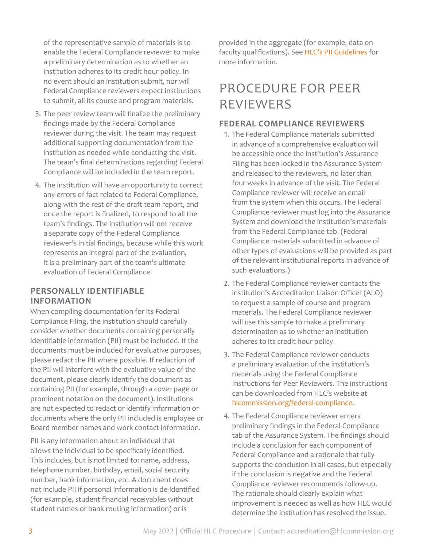of the representative sample of materials is to enable the Federal Compliance reviewer to make a preliminary determination as to whether an institution adheres to its credit hour policy. In no event should an institution submit, nor will Federal Compliance reviewers expect institutions to submit, all its course and program materials.

- 3. The peer review team will finalize the preliminary findings made by the Federal Compliance reviewer during the visit. The team may request additional supporting documentation from the institution as needed while conducting the visit. The team's final determinations regarding Federal Compliance will be included in the team report.
- 4. The institution will have an opportunity to correct any errors of fact related to Federal Compliance, along with the rest of the draft team report, and once the report is finalized, to respond to all the team's findings. The institution will not receive a separate copy of the Federal Compliance reviewer's initial findings, because while this work represents an integral part of the evaluation, it is a preliminary part of the team's ultimate evaluation of Federal Compliance.

### **PERSONALLY IDENTIFIABLE INFORMATION**

When compiling documentation for its Federal Compliance Filing, the institution should carefully consider whether documents containing personally identifiable information (PII) must be included. If the documents must be included for evaluative purposes, please redact the PII where possible. If redaction of the PII will interfere with the evaluative value of the document, please clearly identify the document as containing PII (for example, through a cover page or prominent notation on the document). Institutions are not expected to redact or identify information or documents where the only PII included is employee or Board member names and work contact information.

PII is any information about an individual that allows the individual to be specifically identified. This includes, but is not limited to: name, address, telephone number, birthday, email, social security number, bank information, etc. A document does not include PII if personal information is de-identified (for example, student financial receivables without student names or bank routing information) or is

provided in the aggregate (for example, data on faculty qualifications). See [HLC's PII Guidelines](https://www.hlcommission.org/Publications/personally-identifiable-information-guidelines.html) for more information.

# PROCEDURE FOR PEER REVIEWERS

## **FEDERAL COMPLIANCE REVIEWERS**

- 1. The Federal Compliance materials submitted in advance of a comprehensive evaluation will be accessible once the institution's Assurance Filing has been locked in the Assurance System and released to the reviewers, no later than four weeks in advance of the visit. The Federal Compliance reviewer will receive an email from the system when this occurs. The Federal Compliance reviewer must log into the Assurance System and download the institution's materials from the Federal Compliance tab. (Federal Compliance materials submitted in advance of other types of evaluations will be provided as part of the relevant institutional reports in advance of such evaluations.)
- 2. The Federal Compliance reviewer contacts the institution's Accreditation Liaison Officer (ALO) to request a sample of course and program materials. The Federal Compliance reviewer will use this sample to make a preliminary determination as to whether an institution adheres to its credit hour policy.
- 3. The Federal Compliance reviewer conducts a preliminary evaluation of the institution's materials using the Federal Compliance Instructions for Peer Reviewers. The instructions can be downloaded from HLC's website at [hlcommission.org/federal-compliance](https://www.hlcommission.org/federal-compliance).
- 4. The Federal Compliance reviewer enters preliminary findings in the Federal Compliance tab of the Assurance System. The findings should include a conclusion for each component of Federal Compliance and a rationale that fully supports the conclusion in all cases, but especially if the conclusion is negative and the Federal Compliance reviewer recommends follow-up. The rationale should clearly explain what improvement is needed as well as how HLC would determine the institution has resolved the issue.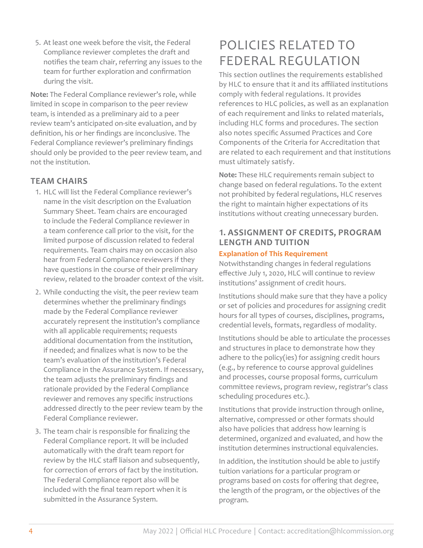5. At least one week before the visit, the Federal Compliance reviewer completes the draft and notifies the team chair, referring any issues to the team for further exploration and confirmation during the visit.

**Note:** The Federal Compliance reviewer's role, while limited in scope in comparison to the peer review team, is intended as a preliminary aid to a peer review team's anticipated on-site evaluation, and by definition, his or her findings are inconclusive. The Federal Compliance reviewer's preliminary findings should only be provided to the peer review team, and not the institution.

# **TEAM CHAIRS**

- 1. HLC will list the Federal Compliance reviewer's name in the visit description on the Evaluation Summary Sheet. Team chairs are encouraged to include the Federal Compliance reviewer in a team conference call prior to the visit, for the limited purpose of discussion related to federal requirements. Team chairs may on occasion also hear from Federal Compliance reviewers if they have questions in the course of their preliminary review, related to the broader context of the visit.
- 2. While conducting the visit, the peer review team determines whether the preliminary findings made by the Federal Compliance reviewer accurately represent the institution's compliance with all applicable requirements; requests additional documentation from the institution, if needed; and finalizes what is now to be the team's evaluation of the institution's Federal Compliance in the Assurance System. If necessary, the team adjusts the preliminary findings and rationale provided by the Federal Compliance reviewer and removes any specific instructions addressed directly to the peer review team by the Federal Compliance reviewer.
- 3. The team chair is responsible for finalizing the Federal Compliance report. It will be included automatically with the draft team report for review by the HLC staff liaison and subsequently, for correction of errors of fact by the institution. The Federal Compliance report also will be included with the final team report when it is submitted in the Assurance System.

# POLICIES RELATED TO FEDERAL REGULATION

This section outlines the requirements established by HLC to ensure that it and its affiliated institutions comply with federal regulations. It provides references to HLC policies, as well as an explanation of each requirement and links to related materials, including HLC forms and procedures. The section also notes specific Assumed Practices and Core Components of the Criteria for Accreditation that are related to each requirement and that institutions must ultimately satisfy.

**Note:** These HLC requirements remain subject to change based on federal regulations. To the extent not prohibited by federal regulations, HLC reserves the right to maintain higher expectations of its institutions without creating unnecessary burden.

# **1. ASSIGNMENT OF CREDITS, PROGRAM LENGTH AND TUITION**

#### **Explanation of This Requirement**

Notwithstanding changes in federal regulations effective July 1, 2020, HLC will continue to review institutions' assignment of credit hours.

Institutions should make sure that they have a policy or set of policies and procedures for assigning credit hours for all types of courses, disciplines, programs, credential levels, formats, regardless of modality.

Institutions should be able to articulate the processes and structures in place to demonstrate how they adhere to the policy(ies) for assigning credit hours (e.g., by reference to course approval guidelines and processes, course proposal forms, curriculum committee reviews, program review, registrar's class scheduling procedures etc.).

Institutions that provide instruction through online, alternative, compressed or other formats should also have policies that address how learning is determined, organized and evaluated, and how the institution determines instructional equivalencies.

In addition, the institution should be able to justify tuition variations for a particular program or programs based on costs for offering that degree, the length of the program, or the objectives of the program.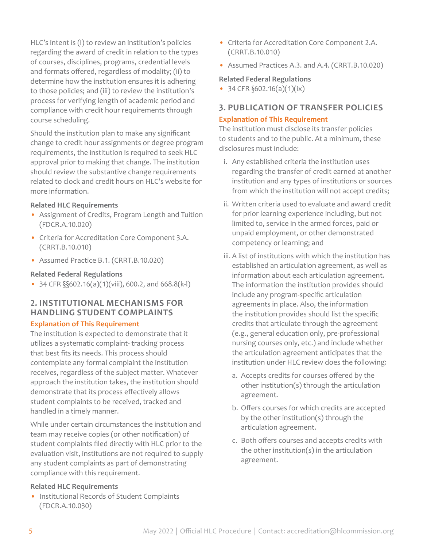HLC's intent is (i) to review an institution's policies regarding the award of credit in relation to the types of courses, disciplines, programs, credential levels and formats offered, regardless of modality; (ii) to determine how the institution ensures it is adhering to those policies; and (iii) to review the institution's process for verifying length of academic period and compliance with credit hour requirements through course scheduling.

Should the institution plan to make any significant change to credit hour assignments or degree program requirements, the institution is required to seek HLC approval prior to making that change. The institution should review the substantive change requirements related to clock and credit hours on HLC's website for more information.

#### **Related HLC Requirements**

- Assignment of Credits, Program Length and Tuition (FDCR.A.10.020)
- Criteria for Accreditation Core Component 3.A. (CRRT.B.10.010)
- Assumed Practice B.1. (CRRT.B.10.020)

#### **Related Federal Regulations**

• 34 CFR  $\S$  $\S$ 602.16(a)(1)(viii), 600.2, and 668.8(k-l)

# **2. INSTITUTIONAL MECHANISMS FOR HANDLING STUDENT COMPLAINTS**

# **Explanation of This Requirement**

The institution is expected to demonstrate that it utilizes a systematic complaint- tracking process that best fits its needs. This process should contemplate any formal complaint the institution receives, regardless of the subject matter. Whatever approach the institution takes, the institution should demonstrate that its process effectively allows student complaints to be received, tracked and handled in a timely manner.

While under certain circumstances the institution and team may receive copies (or other notification) of student complaints filed directly with HLC prior to the evaluation visit, institutions are not required to supply any student complaints as part of demonstrating compliance with this requirement.

# **Related HLC Requirements**

• Institutional Records of Student Complaints (FDCR.A.10.030)

- Criteria for Accreditation Core Component 2.A. (CRRT.B.10.010)
- Assumed Practices A.3. and A.4. (CRRT.B.10.020)

# **Related Federal Regulations**

• 34 CFR  $\S 602.16(a)(1)(ix)$ 

# **3. PUBLICATION OF TRANSFER POLICIES**

# **Explanation of This Requirement**

The institution must disclose its transfer policies to students and to the public. At a minimum, these disclosures must include:

- i. Any established criteria the institution uses regarding the transfer of credit earned at another institution and any types of institutions or sources from which the institution will not accept credits;
- ii. Written criteria used to evaluate and award credit for prior learning experience including, but not limited to, service in the armed forces, paid or unpaid employment, or other demonstrated competency or learning; and
- iii. A list of institutions with which the institution has established an articulation agreement, as well as information about each articulation agreement. The information the institution provides should include any program-specific articulation agreements in place. Also, the information the institution provides should list the specific credits that articulate through the agreement (e.g., general education only, pre-professional nursing courses only, etc.) and include whether the articulation agreement anticipates that the institution under HLC review does the following:
	- a. Accepts credits for courses offered by the other institution(s) through the articulation agreement.
	- b. Offers courses for which credits are accepted by the other institution(s) through the articulation agreement.
	- c. Both offers courses and accepts credits with the other institution(s) in the articulation agreement.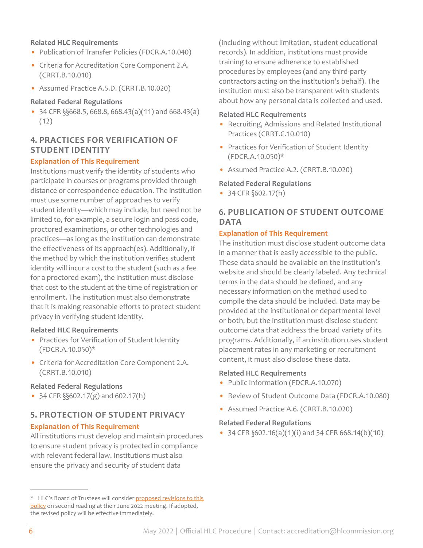#### **Related HLC Requirements**

- Publication of Transfer Policies (FDCR.A.10.040)
- Criteria for Accreditation Core Component 2.A. (CRRT.B.10.010)
- Assumed Practice A.5.D. (CRRT.B.10.020)

#### **Related Federal Regulations**

• 34 CFR §§668.5, 668.8, 668.43(a)(11) and 668.43(a) (12)

# **4. PRACTICES FOR VERIFICATION OF STUDENT IDENTITY**

#### **Explanation of This Requirement**

Institutions must verify the identity of students who participate in courses or programs provided through distance or correspondence education. The institution must use some number of approaches to verify student identity—which may include, but need not be limited to, for example, a secure login and pass code, proctored examinations, or other technologies and practices—as long as the institution can demonstrate the effectiveness of its approach(es). Additionally, if the method by which the institution verifies student identity will incur a cost to the student (such as a fee for a proctored exam), the institution must disclose that cost to the student at the time of registration or enrollment. The institution must also demonstrate that it is making reasonable efforts to protect student privacy in verifying student identity.

#### **Related HLC Requirements**

- Practices for Verification of Student Identity (FDCR.A.10.050)\*
- Criteria for Accreditation Core Component 2.A. (CRRT.B.10.010)

#### **Related Federal Regulations**

• 34 CFR  $\S$  $602.17(g)$  and  $602.17(h)$ 

### **5. PROTECTION OF STUDENT PRIVACY**

#### **Explanation of This Requirement**

All institutions must develop and maintain procedures to ensure student privacy is protected in compliance with relevant federal law. Institutions must also ensure the privacy and security of student data

(including without limitation, student educational records). In addition, institutions must provide training to ensure adherence to established procedures by employees (and any third-party contractors acting on the institution's behalf). The institution must also be transparent with students about how any personal data is collected and used.

#### **Related HLC Requirements**

- Recruiting, Admissions and Related Institutional Practices (CRRT.C.10.010)
- Practices for Verification of Student Identity (FDCR.A.10.050)\*
- Assumed Practice A.2. (CRRT.B.10.020)

#### **Related Federal Regulations**

• 34 CFR §602.17(h)

## **6. PUBLICATION OF STUDENT OUTCOME DATA**

#### **Explanation of This Requirement**

The institution must disclose student outcome data in a manner that is easily accessible to the public. These data should be available on the institution's website and should be clearly labeled. Any technical terms in the data should be defined, and any necessary information on the method used to compile the data should be included. Data may be provided at the institutional or departmental level or both, but the institution must disclose student outcome data that address the broad variety of its programs. Additionally, if an institution uses student placement rates in any marketing or recruitment content, it must also disclose these data.

#### **Related HLC Requirements**

- Public Information (FDCR.A.10.070)
- Review of Student Outcome Data (FDCR.A.10.080)
- Assumed Practice A.6. (CRRT.B.10.020)

#### **Related Federal Regulations**

• 34 CFR  $\S 602.16(a)(1)(i)$  and 34 CFR 668.14(b)(10)

<sup>\*</sup> HLC's Board of Trustees will consider [proposed revisions to this](https://download.hlcommission.org/policy/updates/ProposedPolicy-StudentIdentityPrivacy_2022-02_POL.pdf)  [policy](https://download.hlcommission.org/policy/updates/ProposedPolicy-StudentIdentityPrivacy_2022-02_POL.pdf) on second reading at their June 2022 meeting. If adopted, the revised policy will be effective immediately.